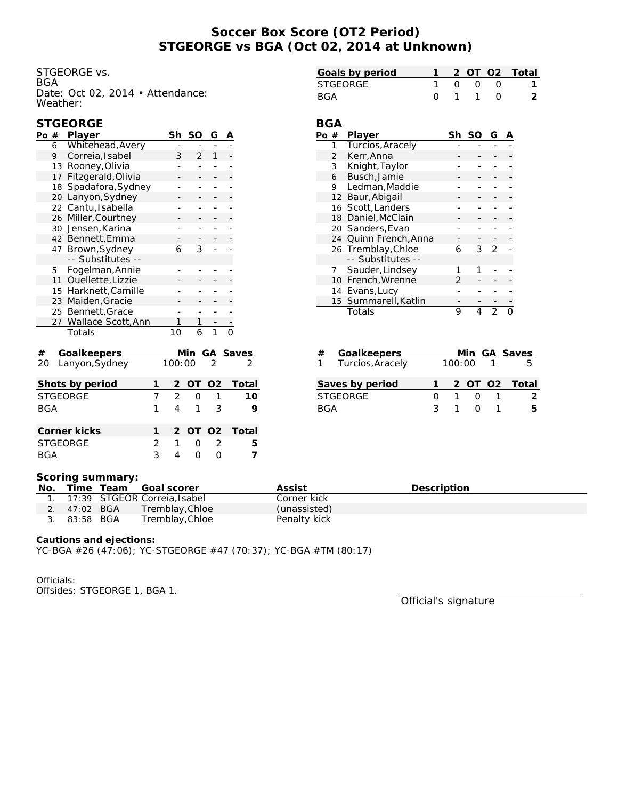# **Soccer Box Score (OT2 Period) STGEORGE vs BGA (Oct 02, 2014 at Unknown)**

**BGA**

STGEORGE vs. BGA Date: Oct 02, 2014 • Attendance: Weather:

| Goals by period |  |                 | 1 2 OT O2 Total |
|-----------------|--|-----------------|-----------------|
| STGEORGE        |  | 1000            |                 |
| BGA             |  | $0 \t1 \t1 \t0$ | $\mathcal{L}$   |

## **STGEORGE**

| Po              | $^{\#}$ | Player                               | Sh | <b>SO</b>      | G   | Α             |  |       |
|-----------------|---------|--------------------------------------|----|----------------|-----|---------------|--|-------|
|                 | 6       | Whitehead, Avery                     |    |                |     |               |  |       |
|                 | 9       | Correia, Isabel                      | 3  | $\overline{2}$ | 1   |               |  |       |
|                 | 13      | Rooney, Olivia                       |    |                |     |               |  |       |
|                 | 17      | Fitzgerald, Olivia                   |    |                |     |               |  |       |
|                 | 18      | Spadafora, Sydney                    |    |                |     |               |  |       |
|                 | 20      | Lanyon, Sydney                       |    |                |     |               |  |       |
|                 |         | 22 Cantu, Isabella                   |    |                |     |               |  |       |
|                 | 26      | Miller, Courtney                     |    |                |     |               |  |       |
|                 |         | 30 Jensen, Karina                    |    |                |     |               |  |       |
|                 |         | 42 Bennett, Emma                     |    |                |     |               |  |       |
|                 |         | 47 Brown, Sydney                     |    | 6              | 3   |               |  |       |
|                 |         | -- Substitutes --                    |    |                |     |               |  |       |
|                 | 5       | Fogelman, Annie                      |    |                |     |               |  |       |
|                 | 11      | Ouellette, Lizzie                    |    |                |     |               |  |       |
|                 |         | 15 Harknett, Camille                 |    |                |     |               |  |       |
|                 | 23      | Maiden, Gracie                       |    |                |     |               |  |       |
|                 |         | 25 Bennett, Grace                    |    |                |     |               |  |       |
|                 | 27      | Wallace Scott, Ann                   |    | 1              | 1   |               |  |       |
|                 |         | Totals                               |    | 10             | 6   | 1             |  |       |
| #               |         |                                      |    |                | Min | GA Saves      |  |       |
| $\overline{20}$ |         | <b>Goalkeepers</b><br>Lanyon, Sydney |    | 100:00         |     | $\mathcal{P}$ |  |       |
|                 |         |                                      |    |                |     |               |  |       |
|                 |         | Shots by period                      | 1  | 2              | OT  | O2            |  | Total |
| <b>STGEORGE</b> |         |                                      | 7  | $\overline{2}$ | O   | 1             |  | 10    |
| BGA             |         |                                      |    | 4              | 1   | 3             |  | 9     |

| Corner kicks    |  |         | 1 2 OT 02 Total |
|-----------------|--|---------|-----------------|
| <b>STGFORGE</b> |  | 2 1 0 2 |                 |
| <b>RGA</b>      |  | 400     |                 |

| Po # |   | Player                | Sh | SO. | G |  |
|------|---|-----------------------|----|-----|---|--|
|      | 1 | Turcios, Aracely      |    |     |   |  |
|      | 2 | Kerr, Anna            |    |     |   |  |
|      | 3 | Knight, Taylor        |    |     |   |  |
|      | 6 | Busch, Jamie          |    |     |   |  |
|      | 9 | Ledman, Maddie        |    |     |   |  |
|      |   | 12 Baur, Abigail      |    |     |   |  |
|      |   | 16 Scott, Landers     |    |     |   |  |
|      |   | 18 Daniel, McClain    |    |     |   |  |
|      |   | 20 Sanders, Evan      |    |     |   |  |
|      |   | 24 Quinn French, Anna |    |     |   |  |
|      |   | 26 Tremblay, Chloe    | 6  | 3   | っ |  |
|      |   | -- Substitutes --     |    |     |   |  |
|      | 7 | Sauder, Lindsey       |    |     |   |  |
|      |   | 10 French, Wrenne     | 2  |     |   |  |
|      |   | 14 Evans, Lucy        |    |     |   |  |
|      |   | 15 Summarell, Katlin  |    |     |   |  |
|      |   | Totals                | 9  | 4   | っ |  |

| Goalkeepers<br># |        |  | Min GA Saves  |
|------------------|--------|--|---------------|
| Turcios, Aracely | 100:00 |  |               |
| Saves by period  |        |  | 2 OT O2 Total |
| <b>STGEORGE</b>  |        |  | 2             |
| <b>BGA</b>       |        |  | 5             |

### **Scoring summary:**

| No. |              | Time Team Goal scorer           | Assist       | <b>Description</b> |
|-----|--------------|---------------------------------|--------------|--------------------|
|     |              | 1. 17:39 STGEOR Correia, Isabel | Corner kick  |                    |
|     | 2. 47:02 BGA | Tremblay, Chloe                 | (unassisted) |                    |
|     | 3. 83:58 BGA | Tremblay, Chloe                 | Penalty kick |                    |

**Cautions and ejections:**

YC-BGA #26 (47:06); YC-STGEORGE #47 (70:37); YC-BGA #TM (80:17)

Officials:

Offsides: STGEORGE 1, BGA 1.

Official's signature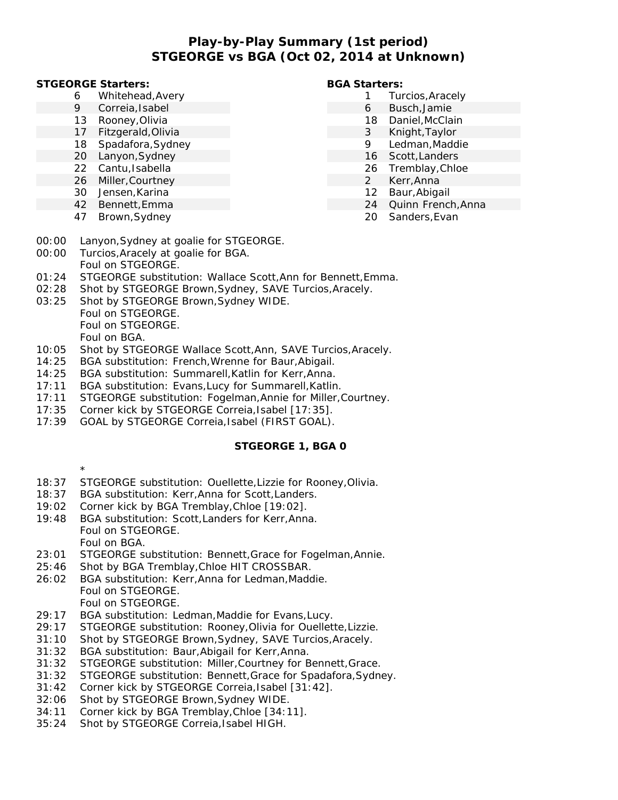# **Play-by-Play Summary (1st period) STGEORGE vs BGA (Oct 02, 2014 at Unknown)**

### **STGEORGE Starters:**

- 6 Whitehead,Avery
- 9 Correia,Isabel
- 13 Rooney,Olivia
- 17 Fitzgerald,Olivia
- 18 Spadafora,Sydney
- 20 Lanyon,Sydney
- 22 Cantu,Isabella
- 26 Miller,Courtney
- 30 Jensen,Karina
- 42 Bennett,Emma
- 47 Brown,Sydney
- 

### **BGA Starters:**

- 1 Turcios,Aracely
	- 6 Busch,Jamie
	- 18 Daniel,McClain
	- 3 Knight,Taylor
	- 9 Ledman,Maddie
	- 16 Scott,Landers
	- 26 Tremblay,Chloe
	- 2 Kerr,Anna
	- 12 Baur,Abigail
	- 24 Quinn French,Anna
	- 20 Sanders,Evan
- 00:00 Lanyon,Sydney at goalie for STGEORGE.
- 00:00 Turcios,Aracely at goalie for BGA. Foul on STGEORGE.
- 01:24 STGEORGE substitution: Wallace Scott,Ann for Bennett,Emma.
- 02:28 Shot by STGEORGE Brown,Sydney, SAVE Turcios,Aracely.
- 03:25 Shot by STGEORGE Brown,Sydney WIDE. Foul on STGEORGE. Foul on STGEORGE. Foul on BGA.
- 10:05 Shot by STGEORGE Wallace Scott,Ann, SAVE Turcios,Aracely.
- 14:25 BGA substitution: French,Wrenne for Baur,Abigail.
- 14:25 BGA substitution: Summarell,Katlin for Kerr,Anna.
- 17:11 BGA substitution: Evans,Lucy for Summarell,Katlin.
- 17:11 STGEORGE substitution: Fogelman,Annie for Miller,Courtney.
- 17:35 Corner kick by STGEORGE Correia,Isabel [17:35].
- 17:39 GOAL by STGEORGE Correia, Isabel (FIRST GOAL).

## **STGEORGE 1, BGA 0**

- \*
- 18:37 STGEORGE substitution: Ouellette,Lizzie for Rooney,Olivia.
- 18:37 BGA substitution: Kerr,Anna for Scott,Landers.
- 19:02 Corner kick by BGA Tremblay,Chloe [19:02].
- 19:48 BGA substitution: Scott,Landers for Kerr,Anna. Foul on STGEORGE. Foul on BGA.
- 23:01 STGEORGE substitution: Bennett,Grace for Fogelman,Annie.
- 25:46 Shot by BGA Tremblay,Chloe HIT CROSSBAR.
- 26:02 BGA substitution: Kerr,Anna for Ledman,Maddie. Foul on STGEORGE. Foul on STGEORGE.
- 29:17 BGA substitution: Ledman,Maddie for Evans,Lucy.
- 29:17 STGEORGE substitution: Rooney,Olivia for Ouellette,Lizzie.
- 31:10 Shot by STGEORGE Brown,Sydney, SAVE Turcios,Aracely.
- 31:32 BGA substitution: Baur,Abigail for Kerr,Anna.
- 31:32 STGEORGE substitution: Miller,Courtney for Bennett,Grace.
- 31:32 STGEORGE substitution: Bennett,Grace for Spadafora,Sydney.
- 31:42 Corner kick by STGEORGE Correia,Isabel [31:42].
- 32:06 Shot by STGEORGE Brown,Sydney WIDE.
- 34:11 Corner kick by BGA Tremblay,Chloe [34:11].
- 35:24 Shot by STGEORGE Correia,Isabel HIGH.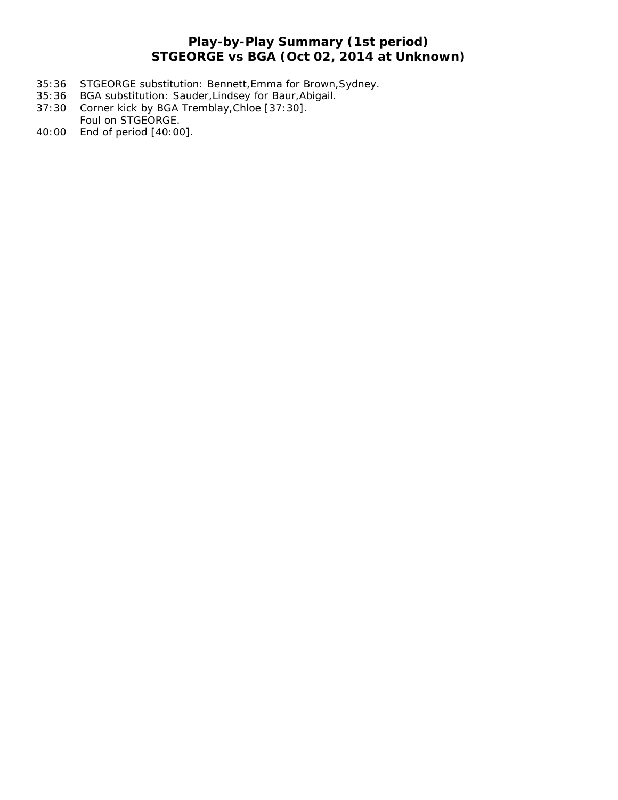# **Play-by-Play Summary (1st period) STGEORGE vs BGA (Oct 02, 2014 at Unknown)**

- 35:36 STGEORGE substitution: Bennett,Emma for Brown,Sydney.
- 35:36 BGA substitution: Sauder,Lindsey for Baur,Abigail.
- 37:30 Corner kick by BGA Tremblay,Chloe [37:30]. Foul on STGEORGE.
- 40:00 End of period [40:00].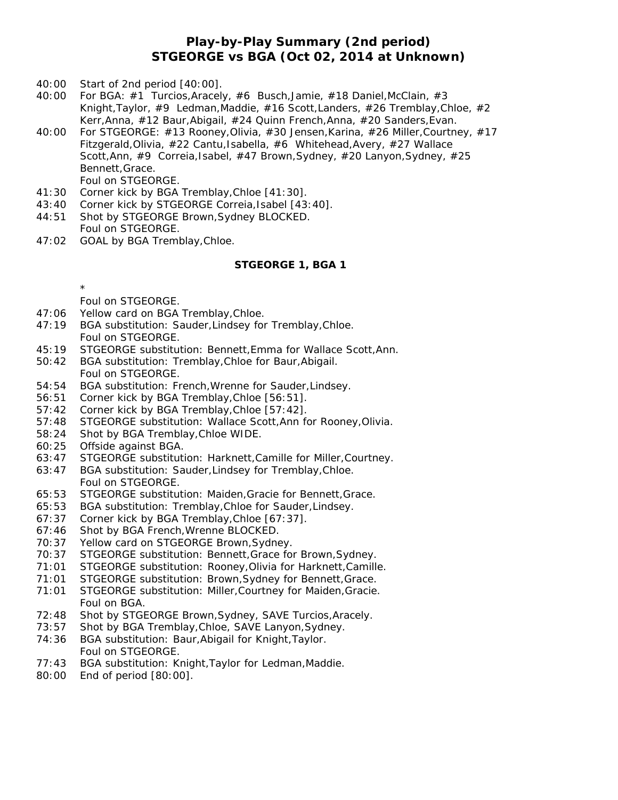## **Play-by-Play Summary (2nd period) STGEORGE vs BGA (Oct 02, 2014 at Unknown)**

- 40:00 Start of 2nd period [40:00].
- 40:00 For BGA: #1 Turcios,Aracely, #6 Busch,Jamie, #18 Daniel,McClain, #3 Knight,Taylor, #9 Ledman,Maddie, #16 Scott,Landers, #26 Tremblay,Chloe, #2 Kerr,Anna, #12 Baur,Abigail, #24 Quinn French,Anna, #20 Sanders,Evan.
- 40:00 For STGEORGE: #13 Rooney,Olivia, #30 Jensen,Karina, #26 Miller,Courtney, #17 Fitzgerald, Olivia, #22 Cantu, Isabella, #6 Whitehead, Avery, #27 Wallace Scott,Ann, #9 Correia,Isabel, #47 Brown,Sydney, #20 Lanyon,Sydney, #25 Bennett,Grace. Foul on STGEORGE.
- 41:30 Corner kick by BGA Tremblay,Chloe [41:30].
- 43:40 Corner kick by STGEORGE Correia,Isabel [43:40].
- 44:51 Shot by STGEORGE Brown,Sydney BLOCKED. Foul on STGEORGE.
- 47:02 GOAL by BGA Tremblay,Chloe.

### **STGEORGE 1, BGA 1**

Foul on STGEORGE.

\*

- 47:06 Yellow card on BGA Tremblay,Chloe.
- 47:19 BGA substitution: Sauder,Lindsey for Tremblay,Chloe. Foul on STGEORGE.
- 45:19 STGEORGE substitution: Bennett,Emma for Wallace Scott,Ann.
- 50:42 BGA substitution: Tremblay,Chloe for Baur,Abigail. Foul on STGEORGE.
- 54:54 BGA substitution: French,Wrenne for Sauder,Lindsey.
- 56:51 Corner kick by BGA Tremblay,Chloe [56:51].
- 57:42 Corner kick by BGA Tremblay,Chloe [57:42].
- 57:48 STGEORGE substitution: Wallace Scott,Ann for Rooney,Olivia.
- 58:24 Shot by BGA Tremblay,Chloe WIDE.
- 60:25 Offside against BGA.
- 63:47 STGEORGE substitution: Harknett,Camille for Miller,Courtney.
- 63:47 BGA substitution: Sauder,Lindsey for Tremblay,Chloe. Foul on STGEORGE.
- 65:53 STGEORGE substitution: Maiden,Gracie for Bennett,Grace.
- 65:53 BGA substitution: Tremblay,Chloe for Sauder,Lindsey.
- 67:37 Corner kick by BGA Tremblay,Chloe [67:37].
- 67:46 Shot by BGA French,Wrenne BLOCKED.
- 70:37 Yellow card on STGEORGE Brown,Sydney.
- 70:37 STGEORGE substitution: Bennett,Grace for Brown,Sydney.
- 71:01 STGEORGE substitution: Rooney,Olivia for Harknett,Camille.
- 71:01 STGEORGE substitution: Brown,Sydney for Bennett,Grace.
- 71:01 STGEORGE substitution: Miller,Courtney for Maiden,Gracie. Foul on BGA.
- 72:48 Shot by STGEORGE Brown,Sydney, SAVE Turcios,Aracely.
- 73:57 Shot by BGA Tremblay,Chloe, SAVE Lanyon,Sydney.
- 74:36 BGA substitution: Baur,Abigail for Knight,Taylor. Foul on STGEORGE.
- 77:43 BGA substitution: Knight,Taylor for Ledman,Maddie.
- 80:00 End of period [80:00].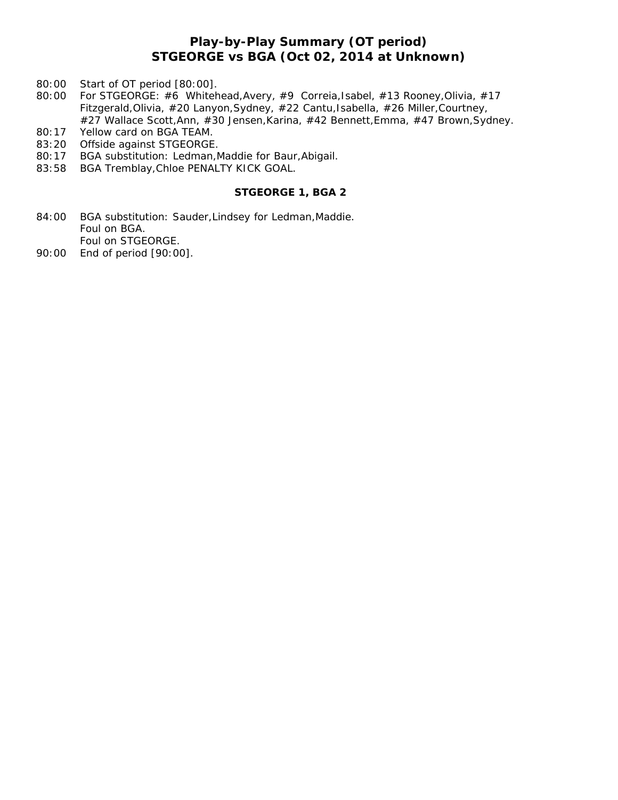# **Play-by-Play Summary (OT period) STGEORGE vs BGA (Oct 02, 2014 at Unknown)**

- 80:00 Start of OT period [80:00].
- 80:00 For STGEORGE: #6 Whitehead,Avery, #9 Correia,Isabel, #13 Rooney,Olivia, #17 Fitzgerald,Olivia, #20 Lanyon,Sydney, #22 Cantu,Isabella, #26 Miller,Courtney, #27 Wallace Scott,Ann, #30 Jensen,Karina, #42 Bennett,Emma, #47 Brown,Sydney.
- 80:17 Yellow card on BGA TEAM.
- 83:20 Offside against STGEORGE.
- 80:17 BGA substitution: Ledman,Maddie for Baur,Abigail.
- 83:58 BGA Tremblay,Chloe PENALTY KICK GOAL.

## **STGEORGE 1, BGA 2**

- 84:00 BGA substitution: Sauder, Lindsey for Ledman, Maddie. Foul on BGA. Foul on STGEORGE.
- 90:00 End of period [90:00].